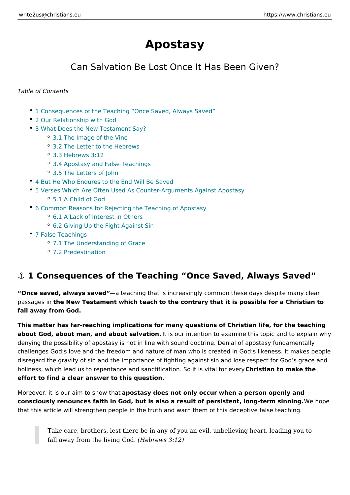# Apostasy

## Can Salvation Be Lost Once It Has Been Giv

Table of Contents

- 1 Consequences of the Teaching Once Saved, Always Saved
- [2 Our Relationship](#page-1-0) with God
- [3 What Does the New Testa](#page-1-0)ment Say?
	- [3.1 The Image of t](#page-1-0)he Vine
	- [3.2 The Letter to the](#page-1-0) Hebrews
	- [3.3 Hebrews](#page-2-0) 3:12
	- [3.4 Apostasy and False](#page-3-0) Teachings
	- [3.5 The Letters](#page-4-0) of John
- [4 But He Who Endures to the End](#page-4-0) Will Be Saved
- 5 Verses Which Are Often Used As Counter-Arguments Against Apostasy [5.1 A Child o](#page-6-0)f God
- [6 Common Reasons for Rejecting the Teac](#page-7-0)hing of Apostasy
	- [6.1 A Lack of Interest](#page-7-0) in Others
	- [6.2 Giving Up the Fight](#page-7-0) Against Sin
- [7 False Teac](#page-7-0)hings
	- [7.1 The Understanding](#page-7-0) of Grace
	- [7.2 Predestin](#page-8-0)ation

## & 1 Consequences of the Teaching Once Saved, Always

Once saved, always saaet tha ching that is increasingly common these days despit passagesthe New Testament which teatch te contrathyat it is possible for a Christian fall away from God.

This matter has far-reaching implications for many questions of Christian life, fo about God, about man, and about salltvasiour intention to examine this topic and t denying the possibility of apostasy is not in line with sound doctrine. Denial of a challenges God s love and the freedom and nature of man who is created in God disregard the gravity of sin and the importance of fighting against sin and lose respect holiness, which lead us to repentance and sanctification. Sinstimation than the revery effort to find a clear answer to this question.

Moreover, it is our aim toaphoswashyadoes not only occur when a person openly and consciously renounces faith in God, but is also a result of persistent, Woen gotpeem that this article will strengthen people in the truth and warn them of this decept

Take care, brothers, lest there be in any of you an evil, unbelieving heart, leading to fall away from the livi(rHge  $\mathsf{G}$ roedws 3:12)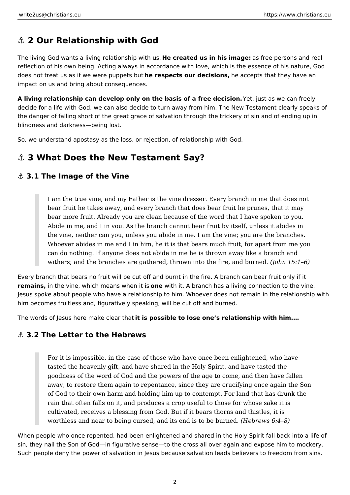# <span id="page-1-0"></span>**⚓ 2 Our Relationship with God**

The living God wants a living relationship with us. **He created us in his image:** as free persons and real reflection of his own being. Acting always in accordance with love, which is the essence of his nature, God does not treat us as if we were puppets but **he respects our decisions,** he accepts that they have an impact on us and bring about consequences.

**A living relationship can develop only on the basis of a free decision.** Yet, just as we can freely decide for a life with God, we can also decide to turn away from him. The New Testament clearly speaks of the danger of falling short of the great grace of salvation through the trickery of sin and of ending up in blindness and darkness—being lost.

So, we understand apostasy as the loss, or rejection, of relationship with God.

## **⚓ 3 What Does the New Testament Say?**

## **⚓ 3.1 The Image of the Vine**

I am the true vine, and my Father is the vine dresser. Every branch in me that does not bear fruit he takes away, and every branch that does bear fruit he prunes, that it may bear more fruit. Already you are clean because of the word that I have spoken to you. Abide in me, and I in you. As the branch cannot bear fruit by itself, unless it abides in the vine, neither can you, unless you abide in me. I am the vine; you are the branches. Whoever abides in me and I in him, he it is that bears much fruit, for apart from me you can do nothing. If anyone does not abide in me he is thrown away like a branch and withers; and the branches are gathered, thrown into the fire, and burned. *(John 15:1–6)*

Every branch that bears no fruit will be cut off and burnt in the fire. A branch can bear fruit only if it **remains,** in the vine, which means when it is **one** with it. A branch has a living connection to the vine. Jesus spoke about people who have a relationship to him. Whoever does not remain in the relationship with him becomes fruitless and, figuratively speaking, will be cut off and burned.

The words of Jesus here make clear that **it is possible to lose one's relationship with him.…**

### **⚓ 3.2 The Letter to the Hebrews**

For it is impossible, in the case of those who have once been enlightened, who have tasted the heavenly gift, and have shared in the Holy Spirit, and have tasted the goodness of the word of God and the powers of the age to come, and then have fallen away, to restore them again to repentance, since they are crucifying once again the Son of God to their own harm and holding him up to contempt. For land that has drunk the rain that often falls on it, and produces a crop useful to those for whose sake it is cultivated, receives a blessing from God. But if it bears thorns and thistles, it is worthless and near to being cursed, and its end is to be burned. *(Hebrews 6:4–8)*

When people who once repented, had been enlightened and shared in the Holy Spirit fall back into a life of sin, they nail the Son of God—in figurative sense—to the cross all over again and expose him to mockery. Such people deny the power of salvation in Jesus because salvation leads believers to freedom from sins.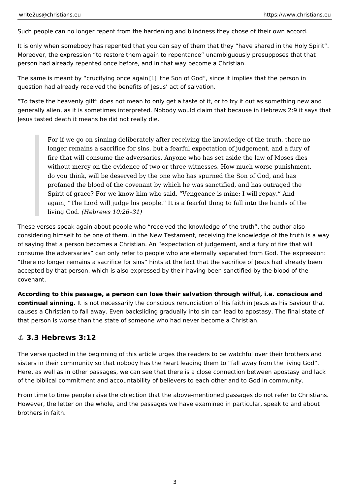<span id="page-2-0"></span>Such people can no longer repent from the hardening and blindness they chose c

It is only when somebody has repented that you can say of them that they have Moreover, the expression to restore them again to repentance unambiguously p person had already repented once before, and in that way become a Christian.

The same is meant by crucifying lohe Squainf God, since it implies that the person question had already received the benefits of Jesus act of salvation.

To taste the heavenly gift does not mean to only get a taste of it, or to try it o generally alien, as it is sometimes interpreted. Nobody would claim that because Jesus tasted death it means he did not really die.

For if we go on sinning deliberately after receiving the knowledge of the longer remains a sacrifice for sins, but a fearful expectation of judgeme fire that will consume the adversaries. Anyone who has set aside the la without mercy on the evidence of two or three witnesses. How much wor do you think, will be deserved by the one who has spurned the Son of G profaned the blood of the covenant by which he was sanctified, and has Spirit of grace? For we know him who said, Vengeance is mine; I will re again. The Lord will judge his people. It is a fearful thing to fall into living God Hebrews 10:26 31)

These verses speak again about people who received the knowledge of the truth considering himself to be one of them. In the New Testament, receiving the know of saying that a person becomes a Christian. An expectation of judgement, and consume the adversaries can only refer to people who are eternally separated f there no longer remains a sacrifice for sins hints at the fact that the sacrifice accepted by that person, which is also expressed by their having been sanctified covenant.

According to this passage, a person can lose their salvation through wilful, i.e. continual sinnimigis not necessarily the conscious renunciation of his faith in Jes causes a Christian to fall away. Even backsliding gradually into sin can lead to that person is worse than the state of someone who had never become a Christia

### &" 3.3 Hebrews 3:12

The verse quoted in the beginning of this article urges the readers to be watchful sisters in their community so that nobody has the heart leading them to fall awa Here, as well as in other passages, we can see that there is a close connection of the biblical commitment and accountability of believers to each other and to (

From time to time people raise the objection that the above-mentioned passages However, the letter on the whole, and the passages we have examined in particu brothers in faith.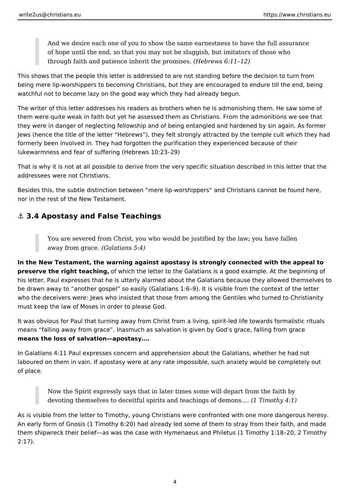<span id="page-3-0"></span>And we desire each one of you to show the same earnestness to have the full assurance of hope until the end, so that you may not be sluggish, but imitators of those who through faith and patience inherit the promises. *(Hebrews 6:11–12)*

This shows that the people this letter is addressed to are not standing before the decision to turn from being mere lip-worshippers to becoming Christians, but they are encouraged to endure till the end, being watchful not to become lazy on the good way which they had already begun.

The writer of this letter addresses his readers as brothers when he is admonishing them. He saw some of them were quite weak in faith but yet he assessed them as Christians. From the admonitions we see that they were in danger of neglecting fellowship and of being entangled and hardened by sin again. As former Jews (hence the title of the letter "Hebrews"), they felt strongly attracted by the temple cult which they had formerly been involved in. They had forgotten the purification they experienced because of their lukewarmness and fear of suffering (Hebrews 10:23–29)

That is why it is not at all possible to derive from the very specific situation described in this letter that the addressees were not Christians.

Besides this, the subtle distinction between "mere lip-worshippers" and Christians cannot be found here, nor in the rest of the New Testament.

## **⚓ 3.4 Apostasy and False Teachings**

You are severed from Christ, you who would be justified by the law; you have fallen away from grace. *(Galatians 5:4)*

**In the New Testament, the warning against apostasy is strongly connected with the appeal to preserve the right teaching,** of which the letter to the Galatians is a good example. At the beginning of his letter, Paul expresses that he is utterly alarmed about the Galatians because they allowed themselves to be drawn away to "another gospel" so easily (Galatians 1:6–9). It is visible from the context of the letter who the deceivers were: Jews who insisted that those from among the Gentiles who turned to Christianity must keep the law of Moses in order to please God.

It was obvious for Paul that turning away from Christ from a living, spirit-led life towards formalistic rituals means "falling away from grace". Inasmuch as salvation is given by God's grace, falling from grace **means the loss of salvation—apostasy.…**

In Galatians 4:11 Paul expresses concern and apprehension about the Galatians, whether he had not laboured on them in vain. If apostasy were at any rate impossible, such anxiety would be completely out of place.

Now the Spirit expressly says that in later times some will depart from the faith by devoting themselves to deceitful spirits and teachings of demons.… *(1 Timothy 4:1)*

As is visible from the letter to Timothy, young Christians were confronted with one more dangerous heresy. An early form of Gnosis (1 Timothy 6:20) had already led some of them to stray from their faith, and made them shipwreck their belief—as was the case with Hymenaeus and Philetus (1 Timothy 1:18–20, 2 Timothy 2:17).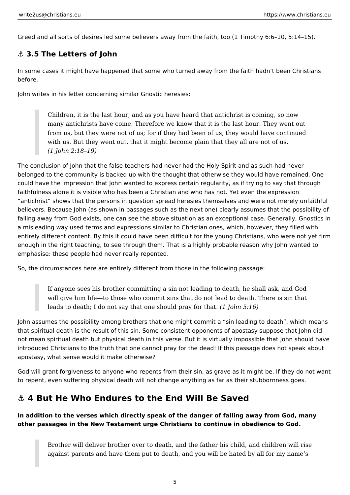<span id="page-4-0"></span>Greed and all sorts of desires led some believers away from the faith, too (1 Timothy 6:6–10, 5:14–15).

## **⚓ 3.5 The Letters of John**

In some cases it might have happened that some who turned away from the faith hadn't been Christians before.

John writes in his letter concerning similar Gnostic heresies:

Children, it is the last hour, and as you have heard that antichrist is coming, so now many antichrists have come. Therefore we know that it is the last hour. They went out from us, but they were not of us; for if they had been of us, they would have continued with us. But they went out, that it might become plain that they all are not of us. *(1 John 2:18–19)*

The conclusion of John that the false teachers had never had the Holy Spirit and as such had never belonged to the community is backed up with the thought that otherwise they would have remained. One could have the impression that John wanted to express certain regularity, as if trying to say that through faithfulness alone it is visible who has been a Christian and who has not. Yet even the expression "antichrist" shows that the persons in question spread heresies themselves and were not merely unfaithful believers. Because John (as shown in passages such as the next one) clearly assumes that the possibility of falling away from God exists, one can see the above situation as an exceptional case. Generally, Gnostics in a misleading way used terms and expressions similar to Christian ones, which, however, they filled with entirely different content. By this it could have been difficult for the young Christians, who were not yet firm enough in the right teaching, to see through them. That is a highly probable reason why John wanted to emphasise: these people had never really repented.

So, the circumstances here are entirely different from those in the following passage:

If anyone sees his brother committing a sin not leading to death, he shall ask, and God will give him life—to those who commit sins that do not lead to death. There is sin that leads to death; I do not say that one should pray for that. *(1 John 5:16)*

John assumes the possibility among brothers that one might commit a "sin leading to death", which means that spiritual death is the result of this sin. Some consistent opponents of apostasy suppose that John did not mean spiritual death but physical death in this verse. But it is virtually impossible that John should have introduced Christians to the truth that one cannot pray for the dead! If this passage does not speak about apostasy, what sense would it make otherwise?

God will grant forgiveness to anyone who repents from their sin, as grave as it might be. If they do not want to repent, even suffering physical death will not change anything as far as their stubbornness goes.

# **⚓ 4 But He Who Endures to the End Will Be Saved**

### **In addition to the verses which directly speak of the danger of falling away from God, many other passages in the New Testament urge Christians to continue in obedience to God.**

Brother will deliver brother over to death, and the father his child, and children will rise against parents and have them put to death, and you will be hated by all for my name's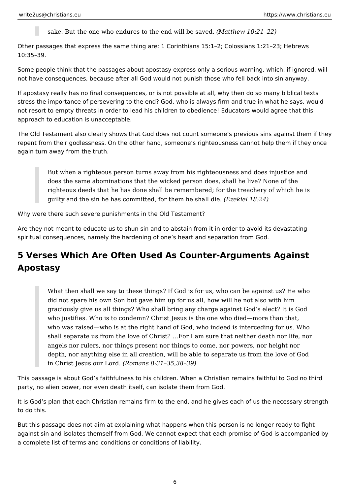sake. But the one who endures to the end will be saved. *(Matthew 10:21–22)*

Other passages that express the same thing are: 1 Corinthians 15:1–2; Colossians 1:21–23; Hebrews 10:35–39.

Some people think that the passages about apostasy express only a serious warning, which, if ignored, will not have consequences, because after all God would not punish those who fell back into sin anyway.

If apostasy really has no final consequences, or is not possible at all, why then do so many biblical texts stress the importance of persevering to the end? God, who is always firm and true in what he says, would not resort to empty threats in order to lead his children to obedience! Educators would agree that this approach to education is unacceptable.

The Old Testament also clearly shows that God does not count someone's previous sins against them if they repent from their godlessness. On the other hand, someone's righteousness cannot help them if they once again turn away from the truth.

But when a righteous person turns away from his righteousness and does injustice and does the same abominations that the wicked person does, shall he live? None of the righteous deeds that he has done shall be remembered; for the treachery of which he is guilty and the sin he has committed, for them he shall die. *(Ezekiel 18:24)*

Why were there such severe punishments in the Old Testament?

Are they not meant to educate us to shun sin and to abstain from it in order to avoid its devastating spiritual consequences, namely the hardening of one's heart and separation from God.

# **5 Verses Which Are Often Used As Counter-Arguments Against Apostasy**

What then shall we say to these things? If God is for us, who can be against us? He who did not spare his own Son but gave him up for us all, how will he not also with him graciously give us all things? Who shall bring any charge against God's elect? It is God who justifies. Who is to condemn? Christ Jesus is the one who died—more than that, who was raised—who is at the right hand of God, who indeed is interceding for us. Who shall separate us from the love of Christ? …For I am sure that neither death nor life, nor angels nor rulers, nor things present nor things to come, nor powers, nor height nor depth, nor anything else in all creation, will be able to separate us from the love of God in Christ Jesus our Lord. *(Romans 8:31–35,38–39)*

This passage is about God's faithfulness to his children. When a Christian remains faithful to God no third party, no alien power, nor even death itself, can isolate them from God.

It is God's plan that each Christian remains firm to the end, and he gives each of us the necessary strength to do this.

But this passage does not aim at explaining what happens when this person is no longer ready to fight against sin and isolates themself from God. We cannot expect that each promise of God is accompanied by a complete list of terms and conditions or conditions of liability.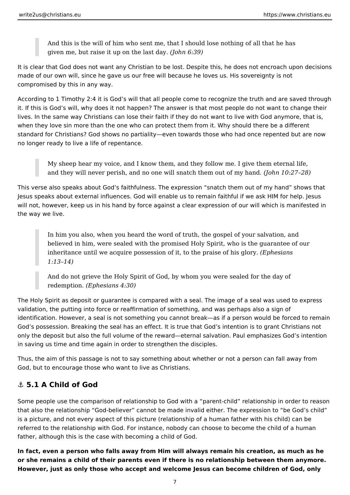<span id="page-6-0"></span>And this is the will of him who sent me, that I should lose nothing of all that he has given me, but raise it up on the last day. *(John 6:39)*

It is clear that God does not want any Christian to be lost. Despite this, he does not encroach upon decisions made of our own will, since he gave us our free will because he loves us. His sovereignty is not compromised by this in any way.

According to 1 Timothy 2:4 it is God's will that all people come to recognize the truth and are saved through it. If this is God's will, why does it not happen? The answer is that most people do not want to change their lives. In the same way Christians can lose their faith if they do not want to live with God anymore, that is, when they love sin more than the one who can protect them from it. Why should there be a different standard for Christians? God shows no partiality—even towards those who had once repented but are now no longer ready to live a life of repentance.

My sheep hear my voice, and I know them, and they follow me. I give them eternal life, and they will never perish, and no one will snatch them out of my hand. *(John 10:27–28)*

This verse also speaks about God's faithfulness. The expression "snatch them out of my hand" shows that Jesus speaks about external influences. God will enable us to remain faithful if we ask HIM for help. Jesus will not, however, keep us in his hand by force against a clear expression of our will which is manifested in the way we live.

In him you also, when you heard the word of truth, the gospel of your salvation, and believed in him, were sealed with the promised Holy Spirit, who is the guarantee of our inheritance until we acquire possession of it, to the praise of his glory. *(Ephesians 1:13–14)*

And do not grieve the Holy Spirit of God, by whom you were sealed for the day of redemption. *(Ephesians 4:30)*

The Holy Spirit as deposit or guarantee is compared with a seal. The image of a seal was used to express validation, the putting into force or reaffirmation of something, and was perhaps also a sign of identification. However, a seal is not something you cannot break—as if a person would be forced to remain God's possession. Breaking the seal has an effect. It is true that God's intention is to grant Christians not only the deposit but also the full volume of the reward—eternal salvation. Paul emphasizes God's intention in saving us time and time again in order to strengthen the disciples.

Thus, the aim of this passage is not to say something about whether or not a person can fall away from God, but to encourage those who want to live as Christians.

## **⚓ 5.1 A Child of God**

Some people use the comparison of relationship to God with a "parent-child" relationship in order to reason that also the relationship "God-believer" cannot be made invalid either. The expression to "be God's child" is a picture, and not every aspect of this picture (relationship of a human father with his child) can be referred to the relationship with God. For instance, nobody can choose to become the child of a human father, although this is the case with becoming a child of God.

**In fact, even a person who falls away from Him will always remain his creation, as much as he or she remains a child of their parents even if there is no relationship between them anymore. However, just as only those who accept and welcome Jesus can become children of God, only**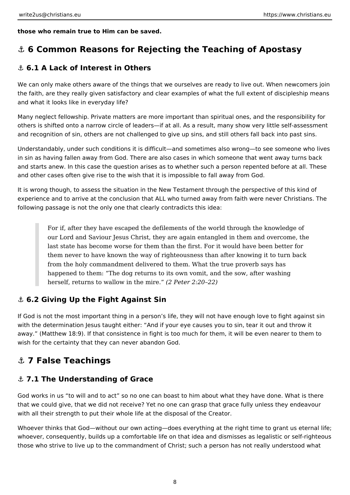<span id="page-7-0"></span>**those who remain true to Him can be saved.**

# **⚓ 6 Common Reasons for Rejecting the Teaching of Apostasy**

## **⚓ 6.1 A Lack of Interest in Others**

We can only make others aware of the things that we ourselves are ready to live out. When newcomers join the faith, are they really given satisfactory and clear examples of what the full extent of discipleship means and what it looks like in everyday life?

Many neglect fellowship. Private matters are more important than spiritual ones, and the responsibility for others is shifted onto a narrow circle of leaders—if at all. As a result, many show very little self-assessment and recognition of sin, others are not challenged to give up sins, and still others fall back into past sins.

Understandably, under such conditions it is difficult—and sometimes also wrong—to see someone who lives in sin as having fallen away from God. There are also cases in which someone that went away turns back and starts anew. In this case the question arises as to whether such a person repented before at all. These and other cases often give rise to the wish that it is impossible to fall away from God.

It is wrong though, to assess the situation in the New Testament through the perspective of this kind of experience and to arrive at the conclusion that ALL who turned away from faith were never Christians. The following passage is not the only one that clearly contradicts this idea:

For if, after they have escaped the defilements of the world through the knowledge of our Lord and Saviour Jesus Christ, they are again entangled in them and overcome, the last state has become worse for them than the first. For it would have been better for them never to have known the way of righteousness than after knowing it to turn back from the holy commandment delivered to them. What the true proverb says has happened to them: "The dog returns to its own vomit, and the sow, after washing herself, returns to wallow in the mire." *(2 Peter 2:20–22)*

## **⚓ 6.2 Giving Up the Fight Against Sin**

If God is not the most important thing in a person's life, they will not have enough love to fight against sin with the determination Jesus taught either: "And if your eye causes you to sin, tear it out and throw it away." (Matthew 18:9). If that consistence in fight is too much for them, it will be even nearer to them to wish for the certainty that they can never abandon God.

# **⚓ 7 False Teachings**

## **⚓ 7.1 The Understanding of Grace**

God works in us "to will and to act" so no one can boast to him about what they have done. What is there that we could give, that we did not receive? Yet no one can grasp that grace fully unless they endeavour with all their strength to put their whole life at the disposal of the Creator.

Whoever thinks that God—without our own acting—does everything at the right time to grant us eternal life; whoever, consequently, builds up a comfortable life on that idea and dismisses as legalistic or self-righteous those who strive to live up to the commandment of Christ; such a person has not really understood what